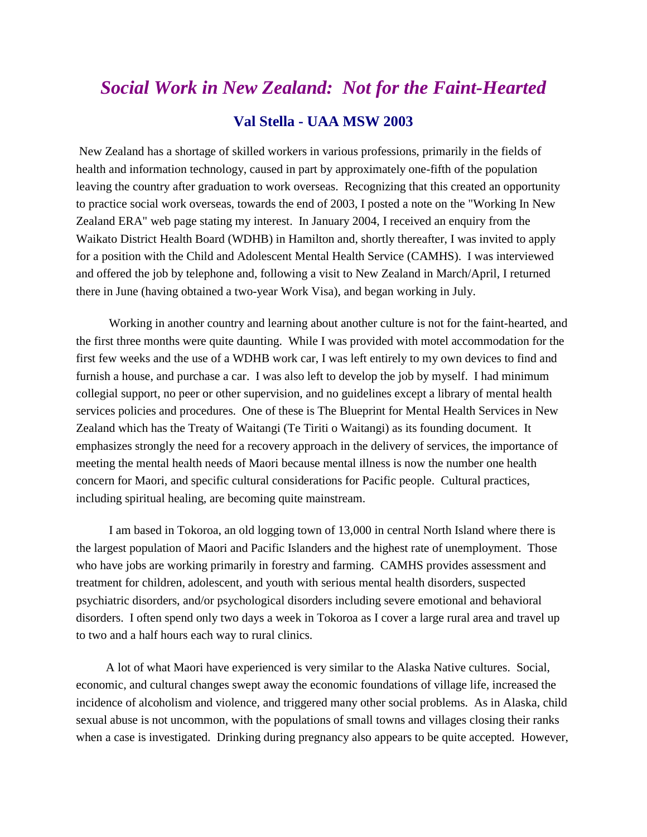## *Social Work in New Zealand: Not for the Faint-Hearted* **Val Stella - UAA MSW 2003**

New Zealand has a shortage of skilled workers in various professions, primarily in the fields of health and information technology, caused in part by approximately one-fifth of the population leaving the country after graduation to work overseas. Recognizing that this created an opportunity to practice social work overseas, towards the end of 2003, I posted a note on the "Working In New Zealand ERA" web page stating my interest. In January 2004, I received an enquiry from the Waikato District Health Board (WDHB) in Hamilton and, shortly thereafter, I was invited to apply for a position with the Child and Adolescent Mental Health Service (CAMHS). I was interviewed and offered the job by telephone and, following a visit to New Zealand in March/April, I returned there in June (having obtained a two-year Work Visa), and began working in July.

Working in another country and learning about another culture is not for the faint-hearted, and the first three months were quite daunting. While I was provided with motel accommodation for the first few weeks and the use of a WDHB work car, I was left entirely to my own devices to find and furnish a house, and purchase a car. I was also left to develop the job by myself. I had minimum collegial support, no peer or other supervision, and no guidelines except a library of mental health services policies and procedures. One of these is The Blueprint for Mental Health Services in New Zealand which has the Treaty of Waitangi (Te Tiriti o Waitangi) as its founding document. It emphasizes strongly the need for a recovery approach in the delivery of services, the importance of meeting the mental health needs of Maori because mental illness is now the number one health concern for Maori, and specific cultural considerations for Pacific people. Cultural practices, including spiritual healing, are becoming quite mainstream.

I am based in Tokoroa, an old logging town of 13,000 in central North Island where there is the largest population of Maori and Pacific Islanders and the highest rate of unemployment. Those who have jobs are working primarily in forestry and farming. CAMHS provides assessment and treatment for children, adolescent, and youth with serious mental health disorders, suspected psychiatric disorders, and/or psychological disorders including severe emotional and behavioral disorders. I often spend only two days a week in Tokoroa as I cover a large rural area and travel up to two and a half hours each way to rural clinics.

A lot of what Maori have experienced is very similar to the Alaska Native cultures. Social, economic, and cultural changes swept away the economic foundations of village life, increased the incidence of alcoholism and violence, and triggered many other social problems. As in Alaska, child sexual abuse is not uncommon, with the populations of small towns and villages closing their ranks when a case is investigated. Drinking during pregnancy also appears to be quite accepted. However,